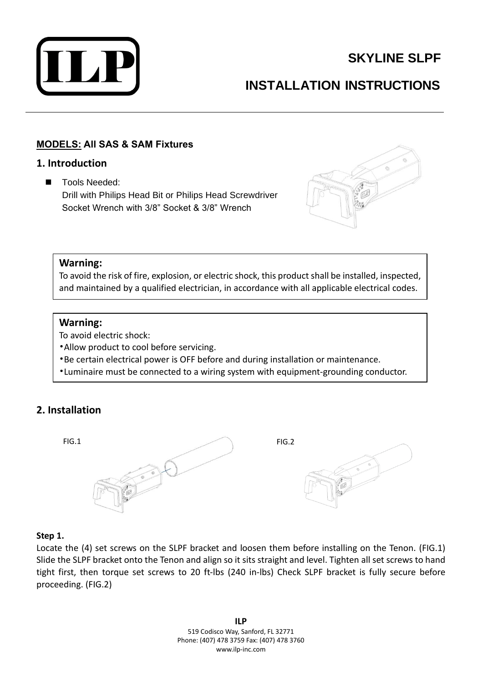

# **SKYLINE SLPF**

# **INSTALLATION INSTRUCTIONS**

# **MODELS: All SAS & SAM Fixtures**

## **1. Introduction**

■ Tools Needed: Drill with Philips Head Bit or Philips Head Screwdriver Socket Wrench with 3/8" Socket & 3/8" Wrench



## **Warning:**

To avoid the risk of fire, explosion, or electric shock, this product shall be installed, inspected, and maintained by a qualified electrician, in accordance with all applicable electrical codes.

## **Warning:**

To avoid electric shock:

- •Allow product to cool before servicing.
- •Be certain electrical power is OFF before and during installation or maintenance.
- •Luminaire must be connected to a wiring system with equipment-grounding conductor.

# **2. Installation**



### **Step 1.**

Locate the (4) set screws on the SLPF bracket and loosen them before installing on the Tenon. (FIG.1) Slide the SLPF bracket onto the Tenon and align so it sits straight and level. Tighten all set screws to hand tight first, then torque set screws to 20 ft-lbs (240 in-lbs) Check SLPF bracket is fully secure before proceeding. (FIG.2)